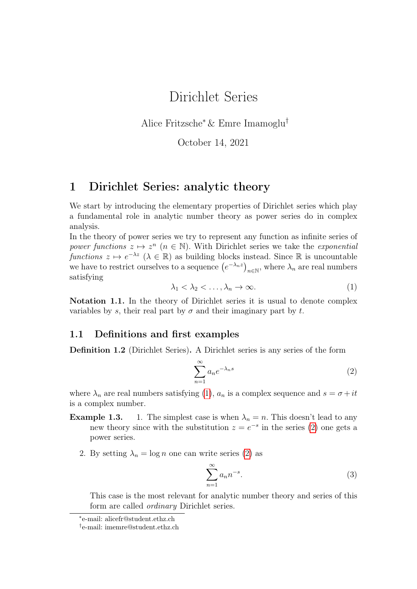# Dirichlet Series

Alice Fritzsche<sup>∗</sup> & Emre Imamoglu†

October 14, 2021

### 1 Dirichlet Series: analytic theory

We start by introducing the elementary properties of Dirichlet series which play a fundamental role in analytic number theory as power series do in complex analysis.

In the theory of power series we try to represent any function as infinite series of power functions  $z \mapsto z^n$   $(n \in \mathbb{N})$ . With Dirichlet series we take the exponential functions  $z \mapsto e^{-\lambda z}$   $(\lambda \in \mathbb{R})$  as building blocks instead. Since R is uncountable we have to restrict ourselves to a sequence  $(e^{-\lambda_n z})_{n\in\mathbb{N}}$ , where  $\lambda_n$  are real numbers satisfying

<span id="page-0-0"></span>
$$
\lambda_1 < \lambda_2 < \dots, \lambda_n \to \infty. \tag{1}
$$

Notation 1.1. In the theory of Dirichlet series it is usual to denote complex variables by s, their real part by  $\sigma$  and their imaginary part by t.

#### 1.1 Definitions and first examples

Definition 1.2 (Dirichlet Series). A Dirichlet series is any series of the form

<span id="page-0-1"></span>
$$
\sum_{n=1}^{\infty} a_n e^{-\lambda_n s} \tag{2}
$$

where  $\lambda_n$  are real numbers satisfying [\(1\)](#page-0-0),  $a_n$  is a complex sequence and  $s = \sigma + it$ is a complex number.

- **Example 1.3.** 1. The simplest case is when  $\lambda_n = n$ . This doesn't lead to any new theory since with the substitution  $z = e^{-s}$  in the series [\(2\)](#page-0-1) one gets a power series.
	- 2. By setting  $\lambda_n = \log n$  one can write series [\(2\)](#page-0-1) as

$$
\sum_{n=1}^{\infty} a_n n^{-s}.
$$
 (3)

This case is the most relevant for analytic number theory and series of this form are called *ordinary* Dirichlet series.

<sup>∗</sup> e-mail: alicefr@student.ethz.ch

<sup>†</sup> e-mail: imemre@student.ethz.ch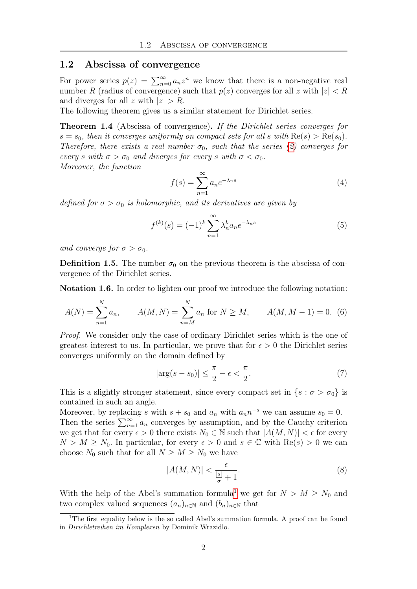#### 1.2 Abscissa of convergence

For power series  $p(z) = \sum_{n=0}^{\infty} a_n z^n$  we know that there is a non-negative real number R (radius of convergence) such that  $p(z)$  converges for all z with  $|z| < R$ and diverges for all z with  $|z| > R$ .

The following theorem gives us a similar statement for Dirichlet series.

Theorem 1.4 (Abscissa of convergence). If the Dirichlet series converges for  $s = s_0$ , then it converges uniformly on compact sets for all s with  $\text{Re}(s) > \text{Re}(s_0)$ . Therefore, there exists a real number  $\sigma_0$ , such that the series [\(2\)](#page-0-1) converges for every s with  $\sigma > \sigma_0$  and diverges for every s with  $\sigma < \sigma_0$ . Moreover, the function

$$
f(s) = \sum_{n=1}^{\infty} a_n e^{-\lambda_n s} \tag{4}
$$

defined for  $\sigma > \sigma_0$  is holomorphic, and its derivatives are given by

<span id="page-1-2"></span>
$$
f^{(k)}(s) = (-1)^k \sum_{n=1}^{\infty} \lambda_n^k a_n e^{-\lambda_n s}
$$
 (5)

and converge for  $\sigma > \sigma_0$ .

**Definition 1.5.** The number  $\sigma_0$  on the previous theorem is the abscissa of convergence of the Dirichlet series.

Notation 1.6. In order to lighten our proof we introduce the following notation:

<span id="page-1-3"></span>
$$
A(N) = \sum_{n=1}^{N} a_n, \qquad A(M, N) = \sum_{n=M}^{N} a_n \text{ for } N \ge M, \qquad A(M, M - 1) = 0. \tag{6}
$$

Proof. We consider only the case of ordinary Dirichlet series which is the one of greatest interest to us. In particular, we prove that for  $\epsilon > 0$  the Dirichlet series converges uniformly on the domain defined by

$$
|\arg(s - s_0)| \le \frac{\pi}{2} - \epsilon < \frac{\pi}{2}.\tag{7}
$$

This is a slightly stronger statement, since every compact set in  $\{s : \sigma > \sigma_0\}$  is contained in such an angle.

Moreover, by replacing s with  $s + s_0$  and  $a_n$  with  $a_n n^{-s}$  we can assume  $s_0 = 0$ . Then the series  $\sum_{n=1}^{\infty} a_n$  converges by assumption, and by the Cauchy criterion we get that for every  $\epsilon > 0$  there exists  $N_0 \in \mathbb{N}$  such that  $|A(M, N)| < \epsilon$  for every  $N > M \ge N_0$ . In particular, for every  $\epsilon > 0$  and  $s \in \mathbb{C}$  with  $\text{Re}(s) > 0$  we can choose  $N_0$  such that for all  $N \geq M \geq N_0$  we have

<span id="page-1-1"></span>
$$
|A(M,N)| < \frac{\epsilon}{\frac{|s|}{\sigma} + 1}.\tag{8}
$$

With the help of the Abel's summation formula<sup>[1](#page-1-0)</sup> we get for  $N > M > N_0$  and two complex valued sequences  $(a_n)_{n\in\mathbb{N}}$  and  $(b_n)_{n\in\mathbb{N}}$  that

<span id="page-1-0"></span><sup>&</sup>lt;sup>1</sup>The first equality below is the so called Abel's summation formula. A proof can be found in Dirichletreihen im Komplexen by Dominik Wrazidlo.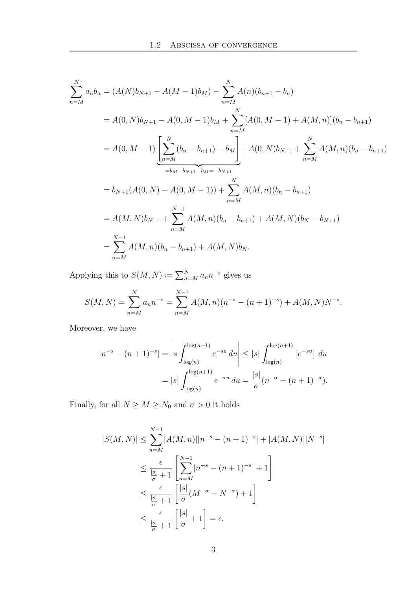$$
\sum_{n=M}^{N} a_n b_n = (A(N)b_{N+1} - A(M-1)b_M) - \sum_{n=M}^{N} A(n)(b_{n+1} - b_n)
$$
  
=  $A(0, N)b_{N+1} - A(0, M-1)b_M + \sum_{n=M}^{N} [A(0, M-1) + A(M, n)](b_n - b_{n+1})$   
=  $A(0, M-1) \left[ \sum_{n=M}^{N} (b_n - b_{n+1}) - b_M \right] + A(0, N)b_{N+1} + \sum_{n=M}^{N} A(M, n)(b_n - b_{n+1})$   
=  $b_{N+1}(A(0, N) - A(0, M-1)) + \sum_{n=M}^{N} A(M, n)(b_n - b_{n+1})$   
=  $A(M, N)b_{N+1} + \sum_{n=M}^{N-1} A(M, n)(b_n - b_{n+1}) + A(M, N)(b_N - b_{N+1})$   
=  $\sum_{n=M}^{N-1} A(M, n)(b_n - b_{n+1}) + A(M, N)b_N.$ 

Applying this to  $S(M, N) \coloneqq \sum_{n=M}^{N} a_n n^{-s}$  gives us

$$
S(M, N) = \sum_{n=M}^{N} a_n n^{-s} = \sum_{n=M}^{N-1} A(M, n) (n^{-s} - (n+1)^{-s}) + A(M, N) N^{-s}.
$$

Moreover, we have

$$
|n^{-s} - (n+1)^{-s}| = \left| s \int_{\log(n)}^{\log(n+1)} e^{-su} du \right| \le |s| \int_{\log(n)}^{\log(n+1)} |e^{-su}| du
$$
  
=  $|s| \int_{\log(n)}^{\log(n+1)} e^{-\sigma u} du = \frac{|s|}{\sigma} (n^{-\sigma} - (n+1)^{-\sigma}).$ 

Finally, for all  $N\geq M\geq N_0$  and  $\sigma>0$  it holds

$$
|S(M, N)| \leq \sum_{n=M}^{N-1} |A(M, n)| |n^{-s} - (n+1)^{-s}| + |A(M, N)| |N^{-s}|
$$
  

$$
\leq \frac{\epsilon}{\frac{|s|}{\sigma} + 1} \left[ \sum_{n=M}^{N-1} |n^{-s} - (n+1)^{-s}| + 1 \right]
$$
  

$$
\leq \frac{\epsilon}{\frac{|s|}{\sigma} + 1} \left[ \frac{|s|}{\sigma} (M^{-\sigma} - N^{-\sigma}) + 1 \right]
$$
  

$$
\leq \frac{\epsilon}{\frac{|s|}{\sigma} + 1} \left[ \frac{|s|}{\sigma} + 1 \right] = \epsilon.
$$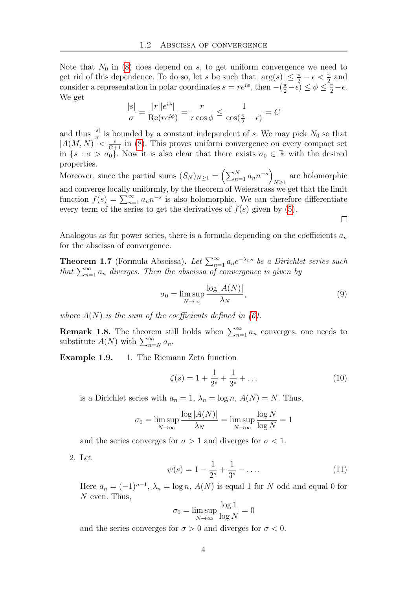Note that  $N_0$  in [\(8\)](#page-1-1) does depend on s, to get uniform convergence we need to get rid of this dependence. To do so, let s be such that  $|\arg(s)| \leq \frac{\pi}{2} - \epsilon < \frac{\pi}{2}$  and consider a representation in polar coordinates  $s = re^{i\phi}$ , then  $-(\frac{\pi}{2} - \epsilon) \leq \phi \leq \frac{\pi}{2} - \epsilon$ . We get

$$
\frac{|s|}{\sigma} = \frac{|r||e^{i\phi}|}{\text{Re}(re^{i\phi})} = \frac{r}{r\cos\phi} \le \frac{1}{\cos(\frac{\pi}{2} - \epsilon)} = C
$$

and thus  $\frac{|s|}{\sigma}$  is bounded by a constant independent of s. We may pick  $N_0$  so that  $|A(M, N)| \leq \frac{\epsilon}{C+1}$  in [\(8\)](#page-1-1). This proves uniform convergence on every compact set in  $\{s : \sigma > \sigma_0\}$ . Now it is also clear that there exists  $\sigma_0 \in \mathbb{R}$  with the desired properties.

Moreover, since the partial sums  $(S_N)_{N \geq 1} = \left(\sum_{n=1}^N a_n n^{-s}\right)$ are holomorphic  $N\geq 1$ and converge locally uniformly, by the theorem of Weierstrass we get that the limit function  $f(s) = \sum_{n=1}^{\infty} a_n n^{-s}$  is also holomorphic. We can therefore differentiate every term of the series to get the derivatives of  $f(s)$  given by  $(5)$ .

Analogous as for power series, there is a formula depending on the coefficients  $a_n$ for the abscissa of convergence.

**Theorem 1.7** (Formula Abscissa). Let  $\sum_{n=1}^{\infty} a_n e^{-\lambda_n s}$  be a Dirichlet series such that  $\sum_{n=1}^{\infty} a_n$  diverges. Then the abscissa of convergence is given by

$$
\sigma_0 = \limsup_{N \to \infty} \frac{\log |A(N)|}{\lambda_N},\tag{9}
$$

 $\Box$ 

where  $A(N)$  is the sum of the coefficients defined in [\(6\)](#page-1-3).

**Remark 1.8.** The theorem still holds when  $\sum_{n=1}^{\infty} a_n$  converges, one needs to substitute  $A(N)$  with  $\sum_{n=N}^{\infty} a_n$ .

Example 1.9. 1. The Riemann Zeta function

<span id="page-3-1"></span>
$$
\zeta(s) = 1 + \frac{1}{2^s} + \frac{1}{3^s} + \dots \tag{10}
$$

is a Dirichlet series with  $a_n = 1$ ,  $\lambda_n = \log n$ ,  $A(N) = N$ . Thus,

$$
\sigma_0 = \limsup_{N \to \infty} \frac{\log |A(N)|}{\lambda_N} = \limsup_{N \to \infty} \frac{\log N}{\log N} = 1
$$

and the series converges for  $\sigma > 1$  and diverges for  $\sigma < 1$ .

2. Let

<span id="page-3-0"></span>
$$
\psi(s) = 1 - \frac{1}{2^s} + \frac{1}{3^s} - \dots \tag{11}
$$

Here  $a_n = (-1)^{n-1}$ ,  $\lambda_n = \log n$ ,  $A(N)$  is equal 1 for N odd and equal 0 for N even. Thus,

$$
\sigma_0 = \limsup_{N \to \infty} \frac{\log 1}{\log N} = 0
$$

and the series converges for  $\sigma > 0$  and diverges for  $\sigma < 0$ .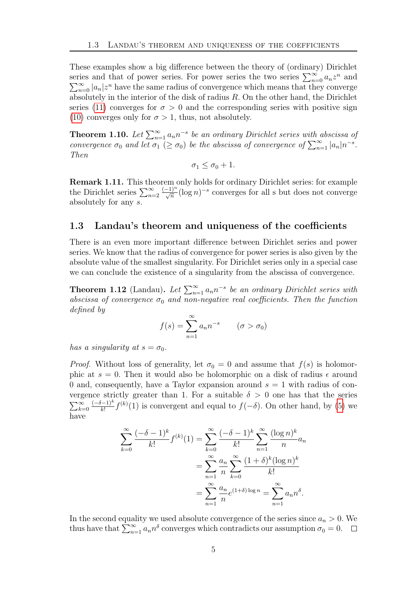These examples show a big difference between the theory of (ordinary) Dirichlet series and that of power series. For power series the two series  $\sum_{n=0}^{\infty} a_n z^n$  and  $\sum_{n=0}^{\infty} |a_n| z^n$  have the same radius of convergence which means that they converge absolutely in the interior of the disk of radius  $R$ . On the other hand, the Dirichlet series [\(11\)](#page-3-0) converges for  $\sigma > 0$  and the corresponding series with positive sign [\(10\)](#page-3-1) converges only for  $\sigma > 1$ , thus, not absolutely.

**Theorem 1.10.** Let  $\sum_{n=1}^{\infty} a_n n^{-s}$  be an ordinary Dirichlet series with abscissa of convergence  $\sigma_0$  and let  $\sigma_1 \geq \sigma_0$ ) be the abscissa of convergence of  $\sum_{n=1}^{\infty} |a_n| n^{-s}$ . Then

$$
\sigma_1 \le \sigma_0 + 1.
$$

Remark 1.11. This theorem only holds for ordinary Dirichlet series: for example the Dirichlet series  $\sum_{n=2}^{\infty}$  $\frac{(-1)^n}{\sqrt{n}}(\log n)^{-s}$  converges for all s but does not converge absolutely for any s.

### 1.3 Landau's theorem and uniqueness of the coefficients

There is an even more important difference between Dirichlet series and power series. We know that the radius of convergence for power series is also given by the absolute value of the smallest singularity. For Dirichlet series only in a special case we can conclude the existence of a singularity from the abscissa of convergence.

**Theorem 1.12** (Landau). Let  $\sum_{n=1}^{\infty} a_n n^{-s}$  be an ordinary Dirichlet series with abscissa of convergence  $\sigma_0$  and non-negative real coefficients. Then the function defined by

$$
f(s) = \sum_{n=1}^{\infty} a_n n^{-s} \qquad (\sigma > \sigma_0)
$$

has a singularity at  $s = \sigma_0$ .

*Proof.* Without loss of generality, let  $\sigma_0 = 0$  and assume that  $f(s)$  is holomorphic at  $s = 0$ . Then it would also be holomorphic on a disk of radius  $\epsilon$  around 0 and, consequently, have a Taylor expansion around  $s = 1$  with radius of convergence strictly greater than 1. For a suitable  $\delta > 0$  one has that the series  $\sum_{k=0}^{\infty}$  $(-\delta-1)^k$  $\frac{f(-1)^k}{k!} f^{(k)}(1)$  is convergent and equal to  $f(-\delta)$ . On other hand, by [\(5\)](#page-1-2) we have

$$
\sum_{k=0}^{\infty} \frac{(-\delta - 1)^k}{k!} f^{(k)}(1) = \sum_{k=0}^{\infty} \frac{(-\delta - 1)^k}{k!} \sum_{n=1}^{\infty} \frac{(\log n)^k}{n} a_n
$$

$$
= \sum_{n=1}^{\infty} \frac{a_n}{n} \sum_{k=0}^{\infty} \frac{(1+\delta)^k (\log n)^k}{k!}
$$

$$
= \sum_{n=1}^{\infty} \frac{a_n}{n} e^{(1+\delta) \log n} = \sum_{n=1}^{\infty} a_n n^{\delta}.
$$

In the second equality we used absolute convergence of the series since  $a_n > 0$ . We thus have that  $\sum_{n=1}^{\infty} a_n n^{\delta}$  converges which contradicts our assumption  $\sigma_0 = 0$ .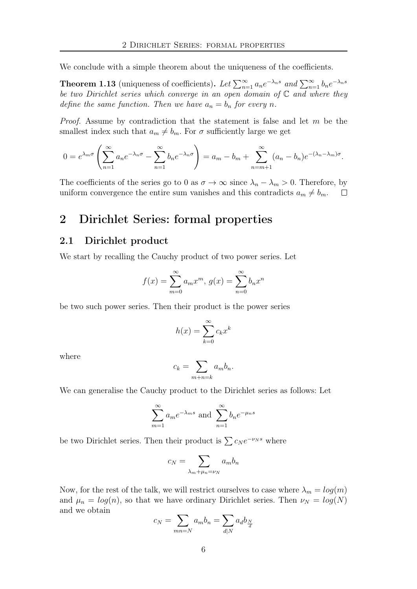We conclude with a simple theorem about the uniqueness of the coefficients.

**Theorem 1.13** (uniqueness of coefficients). Let  $\sum_{n=1}^{\infty} a_n e^{-\lambda_n s}$  and  $\sum_{n=1}^{\infty} b_n e^{-\lambda_n s}$ be two Dirichlet series which converge in an open domain of  $\mathbb C$  and where they define the same function. Then we have  $a_n = b_n$  for every n.

*Proof.* Assume by contradiction that the statement is false and let  $m$  be the smallest index such that  $a_m \neq b_m$ . For  $\sigma$  sufficiently large we get

$$
0 = e^{\lambda_m \sigma} \left( \sum_{n=1}^{\infty} a_n e^{-\lambda_n \sigma} - \sum_{n=1}^{\infty} b_n e^{-\lambda_n \sigma} \right) = a_m - b_m + \sum_{n=m+1}^{\infty} (a_n - b_n) e^{-(\lambda_n - \lambda_m) \sigma}.
$$

The coefficients of the series go to 0 as  $\sigma \to \infty$  since  $\lambda_n - \lambda_m > 0$ . Therefore, by uniform convergence the entire sum vanishes and this contradicts  $a_m \neq b_m$ .  $\Box$ 

## 2 Dirichlet Series: formal properties

#### 2.1 Dirichlet product

We start by recalling the Cauchy product of two power series. Let

$$
f(x) = \sum_{m=0}^{\infty} a_m x^m, \ g(x) = \sum_{n=0}^{\infty} b_n x^n
$$

be two such power series. Then their product is the power series

$$
h(x) = \sum_{k=0}^{\infty} c_k x^k
$$

where

$$
c_k = \sum_{m+n=k} a_m b_n.
$$

We can generalise the Cauchy product to the Dirichlet series as follows: Let

$$
\sum_{m=1}^{\infty} a_m e^{-\lambda_m s} \text{ and } \sum_{n=1}^{\infty} b_n e^{-\mu_n s}
$$

be two Dirichlet series. Then their product is  $\sum c_N e^{-\nu_N s}$  where

$$
c_N = \sum_{\lambda_m + \mu_n = \nu_N} a_m b_n
$$

Now, for the rest of the talk, we will restrict ourselves to case where  $\lambda_m = \log(m)$ and  $\mu_n = log(n)$ , so that we have ordinary Dirichlet series. Then  $\nu_N = log(N)$ and we obtain

$$
c_N = \sum_{mn=N} a_m b_n = \sum_{d|N} a_d b_{\frac{N}{d}}
$$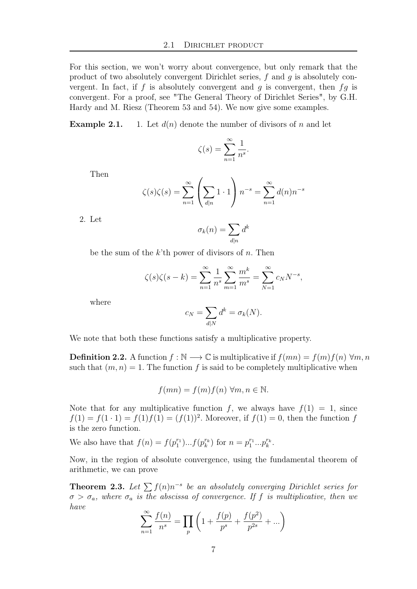For this section, we won't worry about convergence, but only remark that the product of two absolutely convergent Dirichlet series, f and g is absolutely convergent. In fact, if f is absolutely convergent and g is convergent, then  $fg$  is convergent. For a proof, see "The General Theory of Dirichlet Series", by G.H. Hardy and M. Riesz (Theorem 53 and 54). We now give some examples.

**Example 2.1.** 1. Let  $d(n)$  denote the number of divisors of n and let

$$
\zeta(s) = \sum_{n=1}^{\infty} \frac{1}{n^s}.
$$

Then

$$
\zeta(s)\zeta(s) = \sum_{n=1}^{\infty} \left(\sum_{d|n} 1 \cdot 1\right) n^{-s} = \sum_{n=1}^{\infty} d(n) n^{-s}
$$

2. Let

$$
\sigma_k(n) = \sum_{d|n} d^k
$$

be the sum of the  $k$ 'th power of divisors of n. Then

$$
\zeta(s)\zeta(s-k) = \sum_{n=1}^{\infty} \frac{1}{n^s} \sum_{m=1}^{\infty} \frac{m^k}{m^s} = \sum_{N=1}^{\infty} c_N N^{-s},
$$

where

$$
c_N = \sum_{d|N} d^k = \sigma_k(N).
$$

We note that both these functions satisfy a multiplicative property.

**Definition 2.2.** A function  $f : \mathbb{N} \longrightarrow \mathbb{C}$  is multiplicative if  $f(mn) = f(m)f(n) \forall m, n$ such that  $(m, n) = 1$ . The function f is said to be completely multiplicative when

$$
f(mn) = f(m)f(n) \,\forall m, n \in \mathbb{N}.
$$

Note that for any multiplicative function f, we always have  $f(1) = 1$ , since  $f(1) = f(1 \cdot 1) = f(1) f(1) = (f(1))^2$ . Moreover, if  $f(1) = 0$ , then the function f is the zero function.

We also have that  $f(n) = f(p_1^{r_1})...f(p_k^{r_k})$  for  $n = p_1^{r_1}...p_k^{r_k}$ .

Now, in the region of absolute convergence, using the fundamental theorem of arithmetic, we can prove

**Theorem 2.3.** Let  $\sum f(n)n^{-s}$  be an absolutely converging Dirichlet series for  $\sigma > \sigma_a$ , where  $\sigma_a$  is the abscissa of convergence. If f is multiplicative, then we have

$$
\sum_{n=1}^{\infty} \frac{f(n)}{n^s} = \prod_p \left( 1 + \frac{f(p)}{p^s} + \frac{f(p^2)}{p^{2s}} + \dots \right)
$$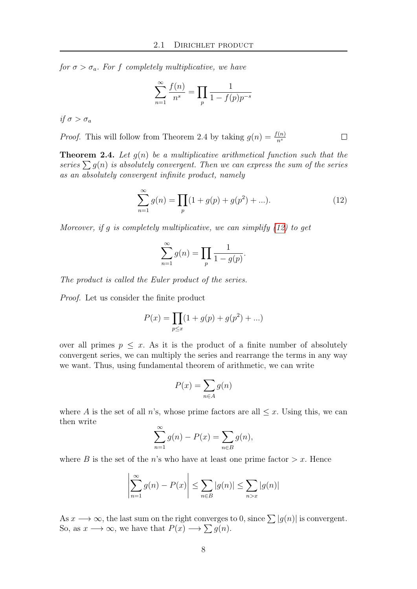for  $\sigma > \sigma_a$ . For f completely multiplicative, we have

$$
\sum_{n=1}^{\infty} \frac{f(n)}{n^s} = \prod_{p} \frac{1}{1 - f(p)p^{-s}}
$$

if  $\sigma > \sigma_a$ 

*Proof.* This will follow from Theorem 2.4 by taking  $g(n) = \frac{f(n)}{n^s}$ 

**Theorem 2.4.** Let  $g(n)$  be a multiplicative arithmetical function such that the series  $\sum g(n)$  is absolutely convergent. Then we can express the sum of the series as an absolutely convergent infinite product, namely

<span id="page-7-0"></span>
$$
\sum_{n=1}^{\infty} g(n) = \prod_{p} (1 + g(p) + g(p^2) + \ldots). \tag{12}
$$

Moreover, if g is completely multiplicative, we can simplify  $(12)$  to get

$$
\sum_{n=1}^{\infty} g(n) = \prod_{p} \frac{1}{1 - g(p)}.
$$

The product is called the Euler product of the series.

Proof. Let us consider the finite product

$$
P(x) = \prod_{p \le x} (1 + g(p) + g(p^2) + \dots)
$$

over all primes  $p \leq x$ . As it is the product of a finite number of absolutely convergent series, we can multiply the series and rearrange the terms in any way we want. Thus, using fundamental theorem of arithmetic, we can write

$$
P(x) = \sum_{n \in A} g(n)
$$

where A is the set of all n's, whose prime factors are all  $\leq x$ . Using this, we can then write

$$
\sum_{n=1}^{\infty} g(n) - P(x) = \sum_{n \in B} g(n),
$$

where B is the set of the n's who have at least one prime factor  $x$ . Hence

$$
\left|\sum_{n=1}^{\infty} g(n) - P(x)\right| \le \sum_{n \in B} |g(n)| \le \sum_{n > x} |g(n)|
$$

As  $x \longrightarrow \infty$ , the last sum on the right converges to 0, since  $\sum |g(n)|$  is convergent. So, as  $x \longrightarrow \infty$ , we have that  $P(x) \longrightarrow \sum g(n)$ .

 $\Box$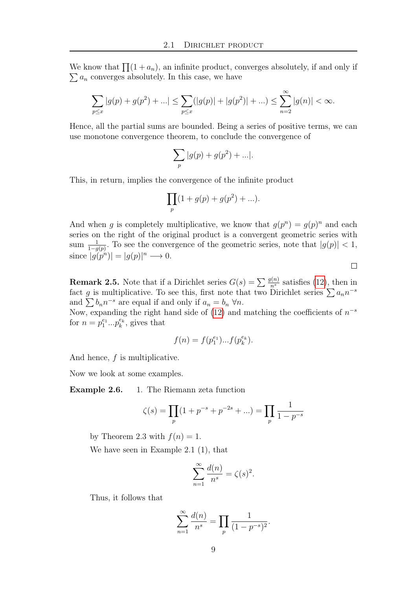We know that  $\prod_{i=1}^{n} (1 + a_n)$ , an infinite product, converges absolutely, if and only if  $\sum a_n$  converges absolutely. In this case, we have

$$
\sum_{p\leq x} |g(p)+g(p^2)+...| \leq \sum_{p\leq x} (|g(p)|+|g(p^2)|+...)\leq \sum_{n=2}^{\infty} |g(n)| < \infty.
$$

Hence, all the partial sums are bounded. Being a series of positive terms, we can use monotone convergence theorem, to conclude the convergence of

$$
\sum_{p} |g(p) + g(p^2) + \ldots|.
$$

This, in return, implies the convergence of the infinite product

$$
\prod_{p} (1 + g(p) + g(p^2) + \ldots).
$$

And when g is completely multiplicative, we know that  $g(p^n) = g(p)^n$  and each series on the right of the original product is a convergent geometric series with sum  $\frac{1}{1-g(p)}$ . To see the convergence of the geometric series, note that  $|g(p)| < 1$ , since  $|g(p^n)| = |g(p)|^n \longrightarrow 0.$ 

 $\Box$ 

**Remark 2.5.** Note that if a Dirichlet series  $G(s) = \sum_{n=1}^{\infty} \frac{g(n)}{n^s}$  satisfies [\(12\)](#page-7-0), then in fact g is multiplicative. To see this, first note that two Dirichlet series  $\sum a_n n^{-s}$ and  $\sum b_n n^{-s}$  are equal if and only if  $a_n = b_n \,\forall n$ .

Now, expanding the right hand side of  $(12)$  and matching the coefficients of  $n^{-s}$ for  $n = p_1^{e_1} \dots p_k^{e_k}$ , gives that

$$
f(n) = f(p_1^{e_1})...f(p_k^{e_k}).
$$

And hence, f is multiplicative.

Now we look at some examples.

Example 2.6. 1. The Riemann zeta function

$$
\zeta(s) = \prod_{p} (1 + p^{-s} + p^{-2s} + ...) = \prod_{p} \frac{1}{1 - p^{-s}}
$$

by Theorem 2.3 with  $f(n) = 1$ .

We have seen in Example 2.1 (1), that

$$
\sum_{n=1}^{\infty} \frac{d(n)}{n^s} = \zeta(s)^2.
$$

Thus, it follows that

$$
\sum_{n=1}^{\infty} \frac{d(n)}{n^s} = \prod_{p} \frac{1}{(1 - p^{-s})^2}.
$$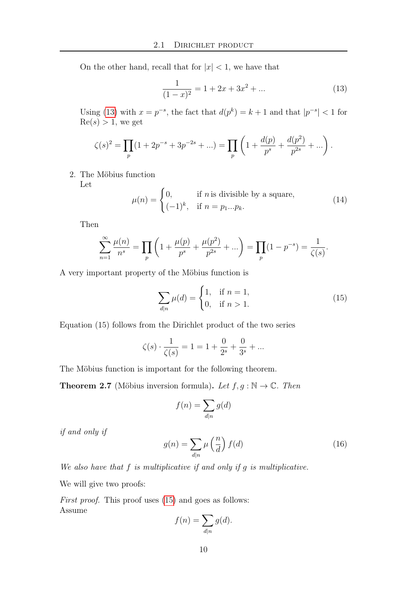On the other hand, recall that for  $|x| < 1$ , we have that

<span id="page-9-0"></span>
$$
\frac{1}{(1-x)^2} = 1 + 2x + 3x^2 + \dots
$$
 (13)

Using [\(13\)](#page-9-0) with  $x = p^{-s}$ , the fact that  $d(p^k) = k+1$  and that  $|p^{-s}| < 1$  for  $Re(s) > 1$ , we get

$$
\zeta(s)^2 = \prod_p (1 + 2p^{-s} + 3p^{-2s} + \ldots) = \prod_p \left( 1 + \frac{d(p)}{p^s} + \frac{d(p^2)}{p^{2s}} + \ldots \right).
$$

2. The Möbius function

Let

$$
\mu(n) = \begin{cases} 0, & \text{if } n \text{ is divisible by a square,} \\ (-1)^k, & \text{if } n = p_1...p_k. \end{cases}
$$
 (14)

Then

$$
\sum_{n=1}^{\infty} \frac{\mu(n)}{n^s} = \prod_p \left( 1 + \frac{\mu(p)}{p^s} + \frac{\mu(p^2)}{p^{2s}} + \ldots \right) = \prod_p (1 - p^{-s}) = \frac{1}{\zeta(s)}.
$$

A very important property of the Möbius function is

<span id="page-9-1"></span>
$$
\sum_{d|n} \mu(d) = \begin{cases} 1, & \text{if } n = 1, \\ 0, & \text{if } n > 1. \end{cases}
$$
 (15)

Equation (15) follows from the Dirichlet product of the two series

$$
\zeta(s) \cdot \frac{1}{\zeta(s)} = 1 = 1 + \frac{0}{2^s} + \frac{0}{3^s} + \dots
$$

The Möbius function is important for the following theorem.

**Theorem 2.7** (Möbius inversion formula). Let  $f, g : \mathbb{N} \to \mathbb{C}$ . Then

$$
f(n) = \sum_{d|n} g(d)
$$

if and only if

<span id="page-9-2"></span>
$$
g(n) = \sum_{d|n} \mu\left(\frac{n}{d}\right) f(d)
$$
 (16)

We also have that  $f$  is multiplicative if and only if  $g$  is multiplicative.

We will give two proofs:

First proof. This proof uses  $(15)$  and goes as follows: Assume

$$
f(n) = \sum_{d|n} g(d).
$$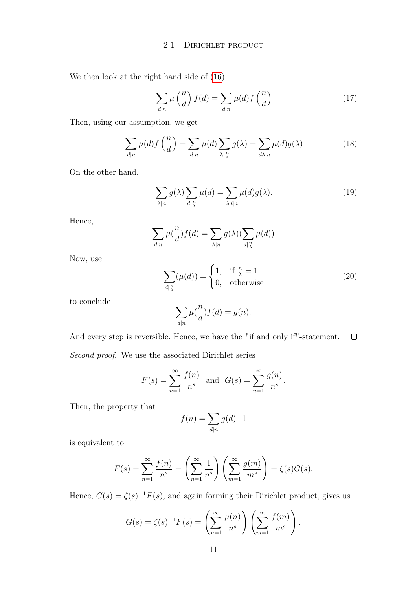We then look at the right hand side of [\(16\)](#page-9-2)

$$
\sum_{d|n} \mu\left(\frac{n}{d}\right) f(d) = \sum_{d|n} \mu(d) f\left(\frac{n}{d}\right) \tag{17}
$$

Then, using our assumption, we get

$$
\sum_{d|n} \mu(d) f\left(\frac{n}{d}\right) = \sum_{d|n} \mu(d) \sum_{\lambda|\frac{n}{d}} g(\lambda) = \sum_{d|\lambda|n} \mu(d) g(\lambda) \tag{18}
$$

On the other hand,

$$
\sum_{\lambda|n} g(\lambda) \sum_{d|\frac{n}{\lambda}} \mu(d) = \sum_{\lambda d|n} \mu(d) g(\lambda).
$$
 (19)

Hence,

$$
\sum_{d|n} \mu(\frac{n}{d}) f(d) = \sum_{\lambda|n} g(\lambda) (\sum_{d|\frac{n}{\lambda}} \mu(d))
$$

Now, use

$$
\sum_{d|\frac{n}{\lambda}} (\mu(d)) = \begin{cases} 1, & \text{if } \frac{n}{\lambda} = 1 \\ 0, & \text{otherwise} \end{cases}
$$
 (20)

to conclude

$$
\sum_{d|n} \mu(\frac{n}{d}) f(d) = g(n).
$$

And every step is reversible. Hence, we have the "if and only if"-statement.  $\Box$ 

Second proof. We use the associated Dirichlet series

$$
F(s) = \sum_{n=1}^{\infty} \frac{f(n)}{n^s}
$$
 and  $G(s) = \sum_{n=1}^{\infty} \frac{g(n)}{n^s}$ .

Then, the property that

$$
f(n) = \sum_{d|n} g(d) \cdot 1
$$

is equivalent to

$$
F(s) = \sum_{n=1}^{\infty} \frac{f(n)}{n^s} = \left(\sum_{n=1}^{\infty} \frac{1}{n^s}\right) \left(\sum_{m=1}^{\infty} \frac{g(m)}{m^s}\right) = \zeta(s)G(s).
$$

Hence,  $G(s) = \zeta(s)^{-1} F(s)$ , and again forming their Dirichlet product, gives us

$$
G(s) = \zeta(s)^{-1} F(s) = \left(\sum_{n=1}^{\infty} \frac{\mu(n)}{n^s}\right) \left(\sum_{m=1}^{\infty} \frac{f(m)}{m^s}\right).
$$